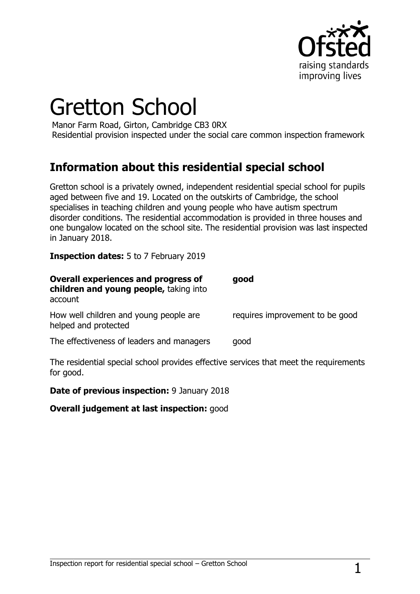

# Gretton School

Manor Farm Road, Girton, Cambridge CB3 0RX Residential provision inspected under the social care common inspection framework

## **Information about this residential special school**

Gretton school is a privately owned, independent residential special school for pupils aged between five and 19. Located on the outskirts of Cambridge, the school specialises in teaching children and young people who have autism spectrum disorder conditions. The residential accommodation is provided in three houses and one bungalow located on the school site. The residential provision was last inspected in January 2018.

**Inspection dates:** 5 to 7 February 2019

| <b>Overall experiences and progress of</b><br>children and young people, taking into<br>account | good                            |
|-------------------------------------------------------------------------------------------------|---------------------------------|
| How well children and young people are<br>helped and protected                                  | requires improvement to be good |
| The effectiveness of leaders and managers                                                       | good                            |

The residential special school provides effective services that meet the requirements for good.

**Date of previous inspection:** 9 January 2018

**Overall judgement at last inspection:** good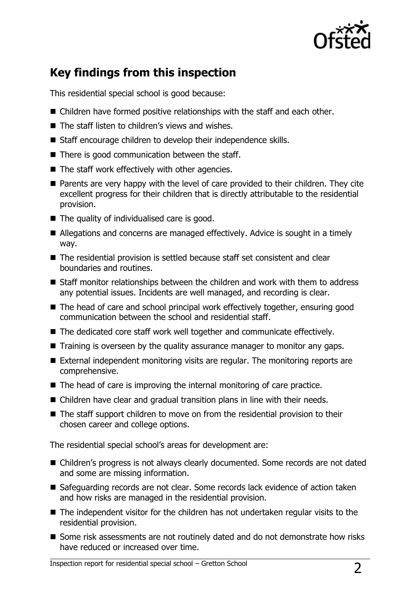

# **Key findings from this inspection**

This residential special school is good because:

- Children have formed positive relationships with the staff and each other.
- The staff listen to children's views and wishes.
- Staff encourage children to develop their independence skills.
- $\blacksquare$  There is good communication between the staff.
- $\blacksquare$  The staff work effectively with other agencies.
- **Parents are very happy with the level of care provided to their children. They cite** excellent progress for their children that is directly attributable to the residential provision.
- $\blacksquare$  The quality of individualised care is good.
- Allegations and concerns are managed effectively. Advice is sought in a timely way.
- The residential provision is settled because staff set consistent and clear boundaries and routines.
- Staff monitor relationships between the children and work with them to address any potential issues. Incidents are well managed, and recording is clear.
- The head of care and school principal work effectively together, ensuring good communication between the school and residential staff.
- The dedicated core staff work well together and communicate effectively.
- **T** Training is overseen by the quality assurance manager to monitor any gaps.
- External independent monitoring visits are regular. The monitoring reports are comprehensive.
- $\blacksquare$  The head of care is improving the internal monitoring of care practice.
- Children have clear and gradual transition plans in line with their needs.
- The staff support children to move on from the residential provision to their chosen career and college options.

The residential special school's areas for development are:

- Children's progress is not always clearly documented. Some records are not dated and some are missing information.
- Safeguarding records are not clear. Some records lack evidence of action taken and how risks are managed in the residential provision.
- The independent visitor for the children has not undertaken regular visits to the residential provision.
- Some risk assessments are not routinely dated and do not demonstrate how risks have reduced or increased over time.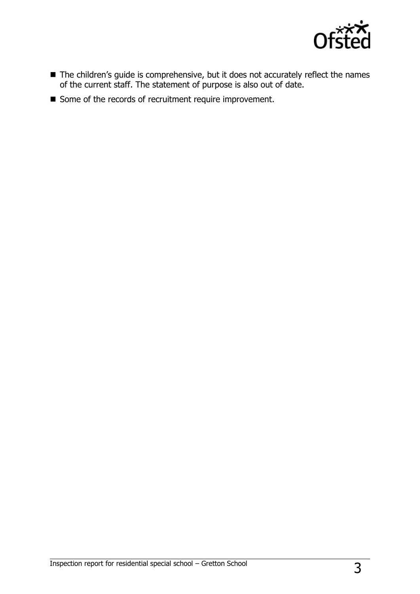

- The children's guide is comprehensive, but it does not accurately reflect the names of the current staff. The statement of purpose is also out of date.
- Some of the records of recruitment require improvement.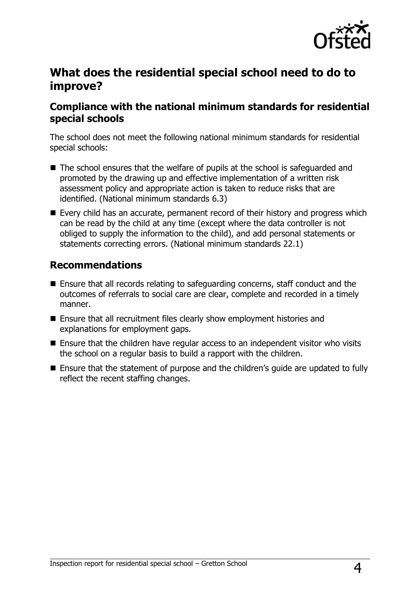

### **What does the residential special school need to do to improve?**

#### **Compliance with the national minimum standards for residential special schools**

The school does not meet the following national minimum standards for residential special schools:

- The school ensures that the welfare of pupils at the school is safeguarded and promoted by the drawing up and effective implementation of a written risk assessment policy and appropriate action is taken to reduce risks that are identified. (National minimum standards 6.3)
- Every child has an accurate, permanent record of their history and progress which can be read by the child at any time (except where the data controller is not obliged to supply the information to the child), and add personal statements or statements correcting errors. (National minimum standards 22.1)

#### **Recommendations**

- Ensure that all records relating to safeguarding concerns, staff conduct and the outcomes of referrals to social care are clear, complete and recorded in a timely manner.
- Ensure that all recruitment files clearly show employment histories and explanations for employment gaps.
- Ensure that the children have regular access to an independent visitor who visits the school on a regular basis to build a rapport with the children.
- Ensure that the statement of purpose and the children's quide are updated to fully reflect the recent staffing changes.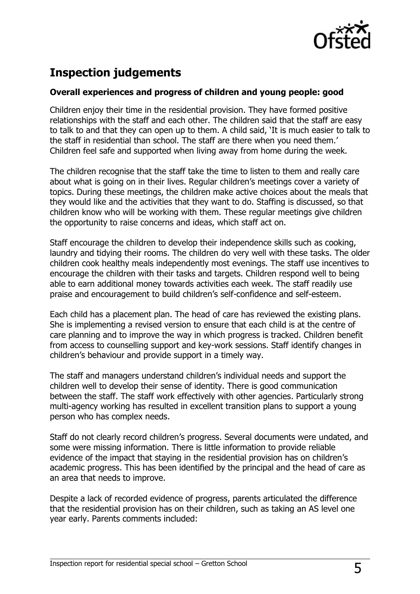

# **Inspection judgements**

#### **Overall experiences and progress of children and young people: good**

Children enjoy their time in the residential provision. They have formed positive relationships with the staff and each other. The children said that the staff are easy to talk to and that they can open up to them. A child said, 'It is much easier to talk to the staff in residential than school. The staff are there when you need them.' Children feel safe and supported when living away from home during the week.

The children recognise that the staff take the time to listen to them and really care about what is going on in their lives. Regular children's meetings cover a variety of topics. During these meetings, the children make active choices about the meals that they would like and the activities that they want to do. Staffing is discussed, so that children know who will be working with them. These regular meetings give children the opportunity to raise concerns and ideas, which staff act on.

Staff encourage the children to develop their independence skills such as cooking, laundry and tidying their rooms. The children do very well with these tasks. The older children cook healthy meals independently most evenings. The staff use incentives to encourage the children with their tasks and targets. Children respond well to being able to earn additional money towards activities each week. The staff readily use praise and encouragement to build children's self-confidence and self-esteem.

Each child has a placement plan. The head of care has reviewed the existing plans. She is implementing a revised version to ensure that each child is at the centre of care planning and to improve the way in which progress is tracked. Children benefit from access to counselling support and key-work sessions. Staff identify changes in children's behaviour and provide support in a timely way.

The staff and managers understand children's individual needs and support the children well to develop their sense of identity. There is good communication between the staff. The staff work effectively with other agencies. Particularly strong multi-agency working has resulted in excellent transition plans to support a young person who has complex needs.

Staff do not clearly record children's progress. Several documents were undated, and some were missing information. There is little information to provide reliable evidence of the impact that staying in the residential provision has on children's academic progress. This has been identified by the principal and the head of care as an area that needs to improve.

Despite a lack of recorded evidence of progress, parents articulated the difference that the residential provision has on their children, such as taking an AS level one year early. Parents comments included: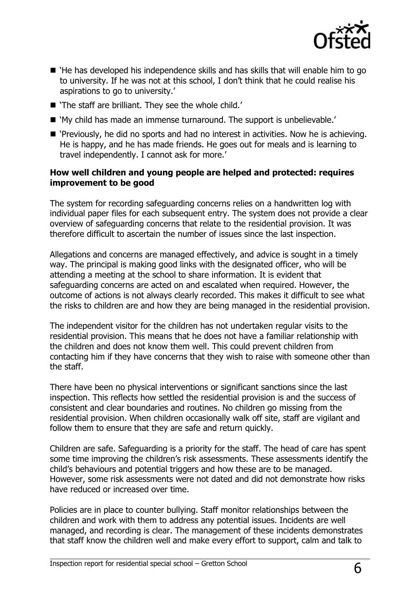

- 'He has developed his independence skills and has skills that will enable him to go to university. If he was not at this school, I don't think that he could realise his aspirations to go to university.'
- 'The staff are brilliant. They see the whole child.'
- 'My child has made an immense turnaround. The support is unbelievable.'
- 'Previously, he did no sports and had no interest in activities. Now he is achieving. He is happy, and he has made friends. He goes out for meals and is learning to travel independently. I cannot ask for more.'

#### **How well children and young people are helped and protected: requires improvement to be good**

The system for recording safeguarding concerns relies on a handwritten log with individual paper files for each subsequent entry. The system does not provide a clear overview of safeguarding concerns that relate to the residential provision. It was therefore difficult to ascertain the number of issues since the last inspection.

Allegations and concerns are managed effectively, and advice is sought in a timely way. The principal is making good links with the designated officer, who will be attending a meeting at the school to share information. It is evident that safeguarding concerns are acted on and escalated when required. However, the outcome of actions is not always clearly recorded. This makes it difficult to see what the risks to children are and how they are being managed in the residential provision.

The independent visitor for the children has not undertaken regular visits to the residential provision. This means that he does not have a familiar relationship with the children and does not know them well. This could prevent children from contacting him if they have concerns that they wish to raise with someone other than the staff.

There have been no physical interventions or significant sanctions since the last inspection. This reflects how settled the residential provision is and the success of consistent and clear boundaries and routines. No children go missing from the residential provision. When children occasionally walk off site, staff are vigilant and follow them to ensure that they are safe and return quickly.

Children are safe. Safeguarding is a priority for the staff. The head of care has spent some time improving the children's risk assessments. These assessments identify the child's behaviours and potential triggers and how these are to be managed. However, some risk assessments were not dated and did not demonstrate how risks have reduced or increased over time.

Policies are in place to counter bullying. Staff monitor relationships between the children and work with them to address any potential issues. Incidents are well managed, and recording is clear. The management of these incidents demonstrates that staff know the children well and make every effort to support, calm and talk to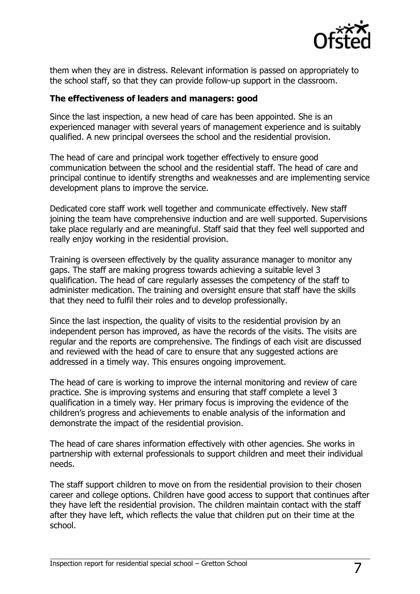

them when they are in distress. Relevant information is passed on appropriately to the school staff, so that they can provide follow-up support in the classroom.

#### **The effectiveness of leaders and managers: good**

Since the last inspection, a new head of care has been appointed. She is an experienced manager with several years of management experience and is suitably qualified. A new principal oversees the school and the residential provision.

The head of care and principal work together effectively to ensure good communication between the school and the residential staff. The head of care and principal continue to identify strengths and weaknesses and are implementing service development plans to improve the service.

Dedicated core staff work well together and communicate effectively. New staff joining the team have comprehensive induction and are well supported. Supervisions take place regularly and are meaningful. Staff said that they feel well supported and really enjoy working in the residential provision.

Training is overseen effectively by the quality assurance manager to monitor any gaps. The staff are making progress towards achieving a suitable level 3 qualification. The head of care regularly assesses the competency of the staff to administer medication. The training and oversight ensure that staff have the skills that they need to fulfil their roles and to develop professionally.

Since the last inspection, the quality of visits to the residential provision by an independent person has improved, as have the records of the visits. The visits are regular and the reports are comprehensive. The findings of each visit are discussed and reviewed with the head of care to ensure that any suggested actions are addressed in a timely way. This ensures ongoing improvement.

The head of care is working to improve the internal monitoring and review of care practice. She is improving systems and ensuring that staff complete a level 3 qualification in a timely way. Her primary focus is improving the evidence of the children's progress and achievements to enable analysis of the information and demonstrate the impact of the residential provision.

The head of care shares information effectively with other agencies. She works in partnership with external professionals to support children and meet their individual needs.

The staff support children to move on from the residential provision to their chosen career and college options. Children have good access to support that continues after they have left the residential provision. The children maintain contact with the staff after they have left, which reflects the value that children put on their time at the school.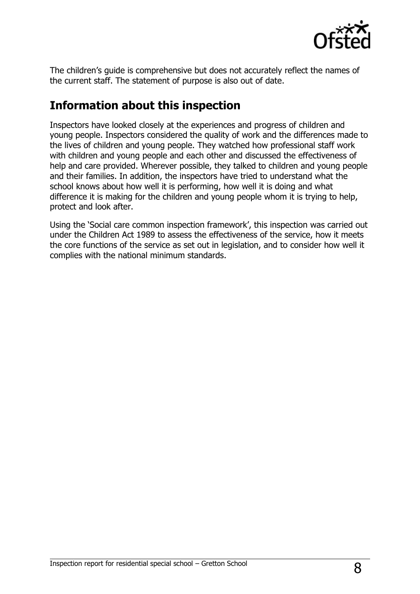

The children's guide is comprehensive but does not accurately reflect the names of the current staff. The statement of purpose is also out of date.

## **Information about this inspection**

Inspectors have looked closely at the experiences and progress of children and young people. Inspectors considered the quality of work and the differences made to the lives of children and young people. They watched how professional staff work with children and young people and each other and discussed the effectiveness of help and care provided. Wherever possible, they talked to children and young people and their families. In addition, the inspectors have tried to understand what the school knows about how well it is performing, how well it is doing and what difference it is making for the children and young people whom it is trying to help, protect and look after.

Using the 'Social care common inspection framework', this inspection was carried out under the Children Act 1989 to assess the effectiveness of the service, how it meets the core functions of the service as set out in legislation, and to consider how well it complies with the national minimum standards.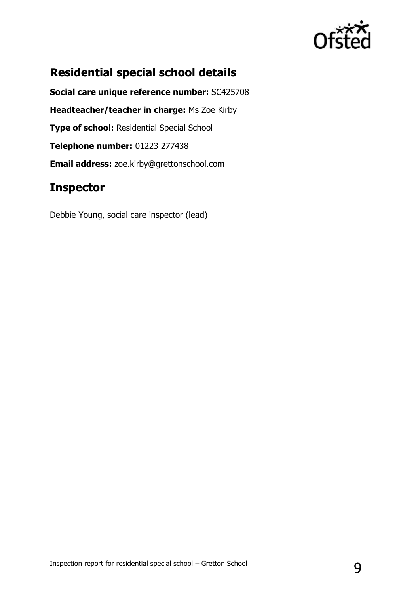

# **Residential special school details**

**Social care unique reference number:** SC425708 **Headteacher/teacher in charge:** Ms Zoe Kirby **Type of school:** Residential Special School **Telephone number:** 01223 277438 **Email address:** zoe.kirby@grettonschool.com

# **Inspector**

Debbie Young, social care inspector (lead)